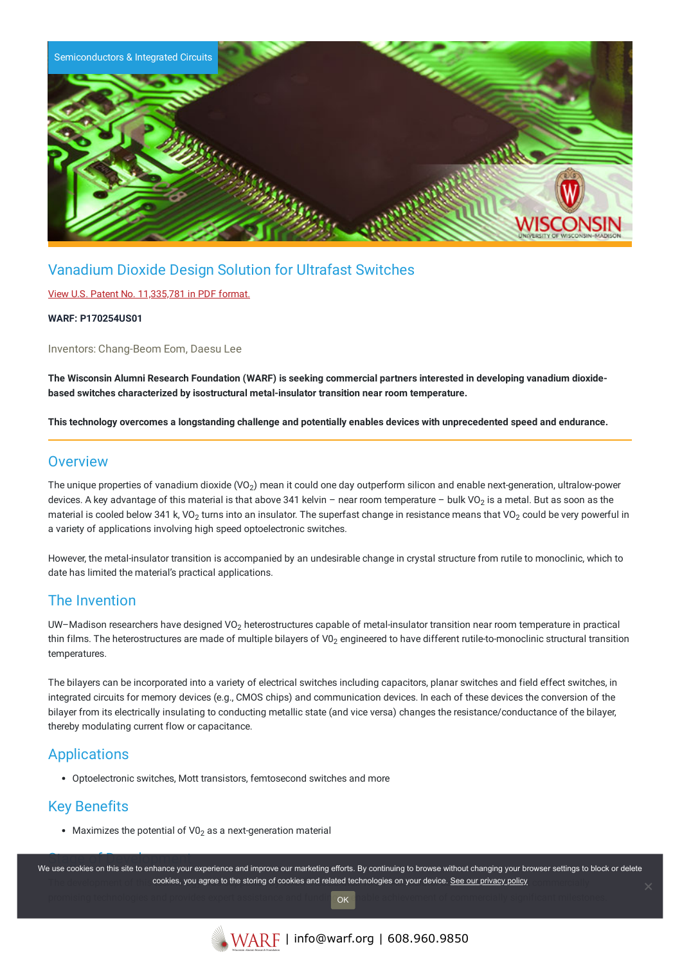

# Vanadium Dioxide Design Solution for Ultrafast Switches

### View U.S. Patent No. [11,335,781](https://www.warf.org/wp-content/uploads/technologies/ipstatus/P170254US01.pdf) in PDF format.

#### **WARF: P170254US01**

Inventors: Chang-Beom Eom, Daesu Lee

The Wisconsin Alumni Research Foundation (WARF) is seeking commercial partners interested in developing vanadium dioxide**based switches characterized by isostructural metal-insulator transition near room temperature.**

This technology overcomes a longstanding challenge and potentially enables devices with unprecedented speed and endurance.

### **Overview**

The unique properties of vanadium dioxide (VO $_2$ ) mean it could one day outperform silicon and enable next-generation, ultralow-power devices. A key advantage of this material is that above 341 kelvin – near room temperature – bulk VO<sub>2</sub> is a metal. But as soon as the material is cooled below 341 k, VO<sub>2</sub> turns into an insulator. The superfast change in resistance means that VO<sub>2</sub> could be very powerful in a variety of applications involving high speed optoelectronic switches.

However, the metal-insulator transition is accompanied by an undesirable change in crystal structure from rutile to monoclinic, which to date has limited the material's practical applications.

### The Invention

UW–Madison researchers have designed VO $_2$  heterostructures capable of metal-insulator transition near room temperature in practical thin films. The heterostructures are made of multiple bilayers of V0<sub>2</sub> engineered to have different rutile-to-monoclinic structural transition temperatures.

The bilayers can be incorporated into a variety of electrical switches including capacitors, planar switches and field effect switches, in integrated circuits for memory devices (e.g., CMOS chips) and communication devices. In each of these devices the conversion of the bilayer from its electrically insulating to conducting metallic state (and vice versa) changes the resistance/conductance of the bilayer, thereby modulating current flow or capacitance.

### Applications

Optoelectronic switches, Mott transistors, femtosecond switches and more

## Key Benefits

Maximizes the potential of V0<sub>2</sub> as a next-generation material

Stage of Development We use cookies on this site to enhance your experience and improve our marketing efforts. By continuing to browse without changing your browser settings to block or delete The development of the **cookies, you agree to the storing of cookies and related technologies on your device. <u>See our privacy policy</u> comments in** promising technologies and provides expert assistance and fundin<mark>i ox t</mark>hable achievement of commercially significant milestones. OK